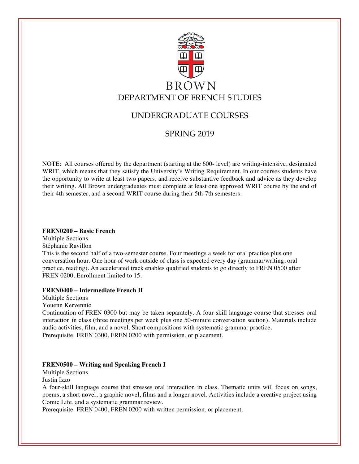

# UNDERGRADUATE COURSES

# SPRING 2019

NOTE: All courses offered by the department (starting at the 600- level) are writing-intensive, designated WRIT, which means that they satisfy the University's Writing Requirement. In our courses students have the opportunity to write at least two papers, and receive substantive feedback and advice as they develop their writing. All Brown undergraduates must complete at least one approved WRIT course by the end of their 4th semester, and a second WRIT course during their 5th-7th semesters.

#### **FREN0200 – Basic French**

Multiple Sections Stéphanie Ravillon This is the second half of a two-semester course. Four meetings a week for oral practice plus one conversation hour. One hour of work outside of class is expected every day (grammar/writing, oral practice, reading). An accelerated track enables qualified students to go directly to FREN 0500 after FREN 0200. Enrollment limited to 15.

# **FREN0400 – Intermediate French II**

Multiple Sections

Youenn Kervennic

Continuation of FREN 0300 but may be taken separately. A four-skill language course that stresses oral interaction in class (three meetings per week plus one 50-minute conversation section). Materials include audio activities, film, and a novel. Short compositions with systematic grammar practice. Prerequisite: FREN 0300, FREN 0200 with permission, or placement.

## **FREN0500 – Writing and Speaking French I**

Multiple Sections Justin Izzo

A four-skill language course that stresses oral interaction in class. Thematic units will focus on songs, poems, a short novel, a graphic novel, films and a longer novel. Activities include a creative project using Comic Life, and a systematic grammar review.

Prerequisite: FREN 0400, FREN 0200 with written permission, or placement.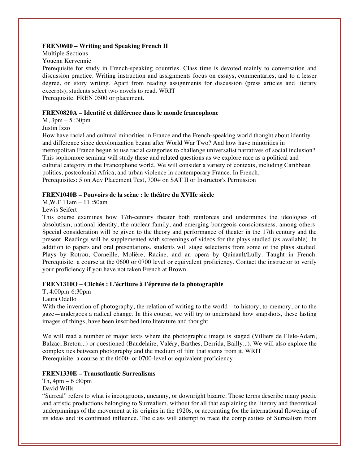#### **FREN0600 – Writing and Speaking French II**

Multiple Sections Youenn Kervennic

Prerequisite for study in French-speaking countries. Class time is devoted mainly to conversation and discussion practice. Writing instruction and assignments focus on essays, commentaries, and to a lesser degree, on story writing. Apart from reading assignments for discussion (press articles and literary excerpts), students select two novels to read. WRIT

Prerequisite: FREN 0500 or placement.

#### **FREN0820A – Identité et différence dans le monde francophone**

M, 3pm – 5 :30pm

#### Justin Izzo

How have racial and cultural minorities in France and the French-speaking world thought about identity and difference since decolonization began after World War Two? And how have minorities in metropolitan France begun to use racial categories to challenge universalist narratives of social inclusion? This sophomore seminar will study these and related questions as we explore race as a political and cultural category in the Francophone world. We will consider a variety of contexts, including Caribbean politics, postcolonial Africa, and urban violence in contemporary France. In French. Prerequisites: 5 on Adv Placement Test, 700+ on SAT II or Instructor's Permission

#### **FREN1040B – Pouvoirs de la scène : le théâtre du XVIIe siècle**

M,W,F 11am – 11 :50am

#### Lewis Seifert

This course examines how 17th-century theater both reinforces and undermines the ideologies of absolutism, national identity, the nuclear family, and emerging bourgeois consciousness, among others. Special consideration will be given to the theory and performance of theater in the 17th century and the present. Readings will be supplemented with screenings of videos for the plays studied (as available). In addition to papers and oral presentations, students will stage selections from some of the plays studied. Plays by Rotrou, Corneille, Molière, Racine, and an opera by Quinault/Lully. Taught in French. Prerequisite: a course at the 0600 or 0700 level or equivalent proficiency. Contact the instructor to verify your proficiency if you have not taken French at Brown.

#### **FREN1310O – Clichés : L'écriture à l'épreuve de la photographie**

T, 4:00pm-6:30pm

#### Laura Odello

With the invention of photography, the relation of writing to the world—to history, to memory, or to the gaze—undergoes a radical change. In this course, we will try to understand how snapshots, these lasting images of things, have been inscribed into literature and thought.

We will read a number of major texts where the photographic image is staged (Villiers de l'Isle-Adam, Balzac, Breton...) or questioned (Baudelaire, Valéry, Barthes, Derrida, Bailly...). We will also explore the complex ties between photography and the medium of film that stems from it. WRIT Prerequisite: a course at the 0600- or 0700-level or equivalent proficiency.

#### **FREN1330E – Transatlantic Surrealisms**

Th,  $4pm - 6:30pm$ David Wills

"Surreal" refers to what is incongruous, uncanny, or downright bizarre. Those terms describe many poetic and artistic productions belonging to Surrealism, without for all that explaining the literary and theoretical underpinnings of the movement at its origins in the 1920s, or accounting for the international flowering of its ideas and its continued influence. The class will attempt to trace the complexities of Surrealism from